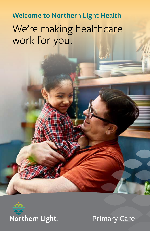**Welcome to Northern Light Health** We're making healthcare work for you.



Primary Care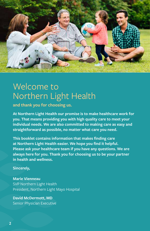

# Welcome to Northern Light Health

**and thank you for choosing us.** 

**At Northern Light Health our promise is to make healthcare work for you. That means providing you with high quality care to meet your individual needs. We are also committed to making care as easy and straightforward as possible, no matter what care you need.** 

**This booklet contains information that makes finding care at Northern Light Health easier. We hope you find it helpful. Please ask your healthcare team if you have any questions. We are always here for you. Thank you for choosing us to be your partner in health and wellness.** 

**Sincerely,**

**Marie Vienneau** SVP Northern Light Health President, Northern Light Mayo Hospital

**David McDermott, MD** Senior Physician Executive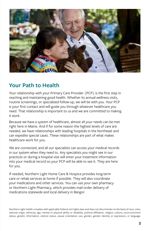

## **Your Path to Health**

Your relationship with your Primary Care Provider (PCP) is the first step in reaching and maintaining good health. Whether its annual wellness visits, routine screenings, or specialized follow-up, we will be with you. Your PCP is your first contact and will guide you through whatever healthcare you need. That relationship is important to us and we are committed to making it work.

Because we have a system of healthcare, almost all your needs can be met right here in Maine. And if for some reason the highest levels of care are needed, we have relationships with leading hospitals in the Northeast and can expedite special cases. These relationships are part of what makes healthcare work for you.

We are connected, and all our specialists can access your medical records in our system when they need to. Any specialists you might see in our practices or during a hospital visit will enter your treatment information into your medical record so your PCP will be able to see it. They are here for you.

If needed, Northern Light Home Care & Hospice provides long-term care or rehab services at home if possible. They will also coordinate your medications and other services. You can use your own pharmacy or Northern Light Pharmacy, which provides mail-order delivery of medications statewide and local delivery in Bangor.

Northern Light Health complies with applicable Federal civil rights laws and does not discriminate on the basis of race, color, national origin, ethnicity, age, mental or physical ability or disability, political affiliation, religion, culture, socio-economic status, genetic information, veteran status, sexual orientation, sex, gender, gender identity or expression, or language.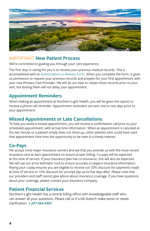

### IMPORTANT **New Patient Process**

We're committed to guiding you through your care experience.

The first step in caring for you is to receive your previous medical records. This is accomplished with an [Authorization to Release Form](https://northernlighthealth.org/getattachment/Locations/Mayo-Hospital/Patients/Authorization-to-Release-Information-Form/Northern-Light-Mayo-Authorization-to-Release-Form.pdf.aspx?lang=en-US). When you complete the form, it gives us permission to request your previous records and prepare for your first appointment with your new Primary Care Provider. We will do our best to obtain these records prior to your visit, but lacking them will not delay your appointment.

## **Appointment Reminders**

When making an appointment at Northern Light Health, you will be given the option to receive a phone call reminder. Appointment reminders are sent one to two days prior to your appointment.

## **Missed Appointments or Late Cancellations**

To help you avoid a missed appointment, you will receive a confirmation call prior to your scheduled appointment, with arrival time information. When an appointment is canceled at the last minute or a patient simply does not show up, other patients who could have used that appointment time miss the opportunity to be seen in a timely manner.

## **Co-Pays**

We accept most major insurance carriers and ask that you provide us with the most recent insurance card at each appointment to ensure proper billing. Co-pays will be expected at the time of service. If your insurance plan has co-insurance, this will also be expected. We will use our price estimator tool to ensure accurate co-pay/co-insurance information. Paying your copay ensures you are eligible to receive our 20% discount for payments made at time of service or 10% discount for prompt pay up to five days after. Please note that our providers and staff cannot give advice about insurance coverage. If you have questions about your coverage, please contact your insurance company.

### **Patient Financial Services**

Northern Light Health has a central billing office with knowledgeable staff who can answer all your questions. Please call us if a bill doesn't make sense or needs clarification. **[1.](tel:18667505001)207.564.4301**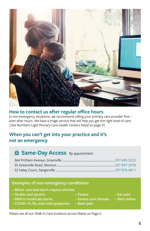

### **How to contact us after regular office hours**

In non-emergency situations, we recommend calling your primary care provider first – even after hours. We have a triage service that will help you get the right level of care. (See Northern Light Primary Care Health Centers listed on page 9)

## **When you can't get into your practice and it's not an emergency**

## **Same-Day Access** By appointment

#### **Examples of non-emergency conditions:**

- • **Minor cuts that don't require stitches**
- **Strains and sprains**
- **Mild to moderate burns**
- **COVID-19, flu, and cold symptoms Back pain**
- **Fevers**
- **Severe sore throats**
	-

Please see all our Walk-In Care locations across Maine on Page 6.

**5**

• **Ear pain** • **Skin rashes**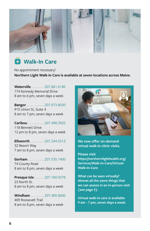

**Walk-In Care**

No appointment necessary! **[Northern Light Walk-In Care](https://northernlighthealth.org/Services/Walk-In-Care) is available at seven locations across Maine.**

**[Waterville](https://northernlighthealth.org/Our-System/Inland-Hospital/Locations/Walk-in-Care) ..............**[207.861.6140](tel:12078616140) 174 Kennedy Memorial Drive 8 am to 6 pm, seven days a week

**[Bangor](https://northernlighthealth.org/Our-System/Eastern-Maine-Medical-Center/Locations/Walk-in-Care)...................**[207.973.8030](tel:12079738030) 915 Union St, Suite 4 8 am to 7 pm, seven days a week

**[Caribou](https://northernlighthealth.org/Our-System/AR-Gould-Hospital/Locations/Northern-Light-Walk-in-Care) ..................**[207.498.3502](tel:12074983502) 118 Bennett Drive 12 pm to 8 pm, seven days a week

**[Ellsworth](https://northernlighthealth.org/Our-System/Maine-Coast-Hospital/Locations/Walk-in-Care) ...............**[207.244.5513](tel:12072445513) 32 Resort Way 7 am to 8 pm, seven days a week

**[Gorham](https://northernlighthealth.org/Our-System/Mercy-Hospital/Locations/Walk-in-Care-Gorham)..................**[207.535.1400](tel:12075351400) 74 County Road 8 am to 8 pm, seven days a week

**[Presque Isle](https://northernlighthealth.org/Our-System/AR-Gould-Hospital/Locations/Walk-in-Care)...........**[207.760.9278](tel:12077609278 )  23 North St. 8 am to 8 pm, seven days a week

**[Windham](https://northernlighthealth.org/Our-System/Mercy-Hospital/Locations/Walk-in-Care-Windham)...............**[207.400.8600](tel:12074008600) 409 Roosevelt Trail 8 am to 8 pm, seven days a week



**We now offer on-demand virtual walk-in clinic visits.** 

**Please visit https://northernlighthealth.org/ Services/Walk-In-Care/Virtual-Walk-In-Care**

**What can be seen virtually? Almost all the same things that we can assess in an in-person visit (see page 5).**

**Virtual walk-in care is available 9 am - 7 pm, seven days a week.**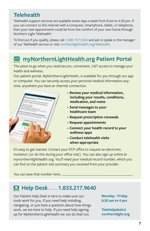## **Telehealth**

Telehealth support services are available seven days a week from 8 am to 4:30 pm. If you can connect to the internet with a computer, smartphone, tablet, or telephone, then your next appointment could be from the comfort of your own home through Northern Light Telehealth!

To find out if you qualify, please call [1.800.757.3326](tel:18007573326) and ask to speak to the manager of our Telehealth service or visit [northernlighthealth.org/Telehealth.](https://northernlighthealth.org/Telehealth)

## **[myNorthernLightHealth.org](http://myNorthernLightHealth.org) Patient Portal**

The place to go when you need secure, convenient, 24/7 access to manage your health and wellness.

Our patient portal, MyNorthernLightHealth, is available for you through our app or computer. You can securely access your personal medical information anytime, anywhere you have an internet connection.



- • **Review your medical information, including your results, conditions, medication, and notes**
- • **Send messages to your healthcare team**
- • **Request prescription renewals**
- • **Request appointments**
- • **Connect your health record to your wellness apps**
- • **Conduct telehealth visits when appropriate**

It's easy to get started. Contact your PCP office to request an electronic invitation (or do this during your office visit). You can also sign up online at mynorthernlighthealth.org. You'll need your medical record number, which you can find on the patient visit summary you received from your provider.

You can save that number here:

## **Help Desk.......[1.833.217.9640](tel:18332179640)**

Our Patient Help Desk is here to make sure our tools work for you. If you need help installing, navigating, or just have a question about how things work, we are here to help. If you need help signing up for MyNorthernLightHealth we can do that too.

**Monday - Friday 8:30 am to 4 pm**

**[TeleHelpdesk@](mailto:TeleHelpdesk%40northernlight.org?subject=) [northernlight.org](mailto:TeleHelpdesk%40northernlight.org?subject=)**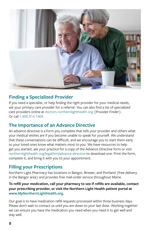

## **Finding a Specialized Provider**

If you need a specialist, or help finding the right provider for your medical needs, ask your primary care provider for a referral. You can also find a list of specialized care providers online at [doctors.northernlighthealth.org](http://doctors.northernlighthealth.org) (Provider Finder). Or call [1.800.914.1409.](tel:18009141409)

## **The Importance of an Advance Directive**

An advance directive is a form you complete that tells your provider and others what your medical wishes are if you become unable to speak for yourself. We understand that these conversations can be difficult, and we encourage you to start them early so your loved ones know what matters most to you. We have resources to help get you started, ask your practice for a copy of the Advance Directive form or visit [northernlighthealth.org/legal/him/advance-directive](https://northernlighthealth.org/legal/him/advance-directive) to download one. Print the form, complete it, and bring it with you to your appointment.

## **Filling your Prescriptions**

Northern Light Pharmacy has locations in Bangor, Brewer, and Portland (free delivery in the Bangor area) and provides free mail-order service throughout Maine.

#### **To refill your medication, call your pharmacy to see if refills are available, contact your prescribing provider, or visit the Northern Light Health patient portal at [www.MyNorthernLightHealth.org](http://www.MyNorthernLightHealth.org).**

Our goal is to have medication refill requests processed within three business days. Please don't wait to contact us until you are down to your last dose. Working together we can ensure you have the medication you need when you need it to get well and stay well.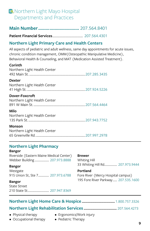## **EX** Northern Light Mayo Hospital Departments and Practices

**Main Number.................................** [207.5](Tel:12075648401)64.8401

**Patient Financial Services**......................................... [207.564.4301](tel:2075644301)

### **Northern Light Primary Care and Health Centers**

All aspects of pediatric and adult wellness, same day appointments for acute issues, chronic condition management, OMM(Osteopathic Manipulative Medicine), Behavioral Health & Counseling, and MAT (Medication Assisted Treatment).

#### **Corinth**

| Northern Light Health Center                   |  |
|------------------------------------------------|--|
| <b>Dexter</b><br>Northern Light Health Center  |  |
| Dover-Foxcroft<br>Northern Light Health Center |  |
| Milo<br>Northern Light Health Center           |  |
| <b>Monson</b><br>Northern Light Health Center  |  |

## **Northern Light Pharmacy**

#### **Bangor**

Riverside (Eastern Maine Medical Center) Webber Building .................... [207.973.8888](tel:12079738888)

#### **Bangor**

Westgate 915 Union St, Ste 7............... [207.973.6788](tel:12079736788)

#### **Bangor**

State Street 210 State St.............................. [207.947.8369](tel:12079478369)

#### **Brewer**

Whiting Hill 33 Whiting Hill Rd.................. [207.973.9444](tel:12079739444)

#### **Portland**

Fore River (Mercy Hospital campus) 195 Fore River Parkway...... [207.535.1600](tel:12075351600)

## **Northern Light Home Care & Hospice ...................................** [1.800.757.3326](tel:18007573326) **Northern Light Rehabilitation Services ...................................** [207.564.4273](tel:2075644273)

- Physical therapy
- Occupational therapy
- Ergonomics/Work injury
- Pediatric Therapy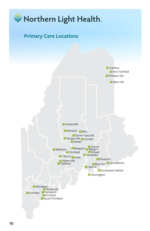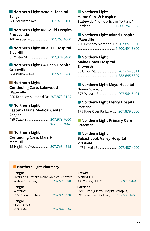## **[Northern Light Acadia Hospital](https://northernlighthealth.org/Acadia-Hospital)**

**Bangor** 268 Stillwater Ave ................ [207.973.6100](tel:12079736100)

#### **[Northern Light AR Gould Hospital](https://northernlighthealth.org/A-R-Gould-Hospital) Presque Isle**

140 Academy St .................... [207.768.4000](tel:12077684000)

## **[Northern Light Blue Hill Hospital](https://northernlighthealth.org/Blue-Hill-Hospital) Blue Hill**

57 Water St ............................. [207.374.3400](tel:12073743400)

**[Northern Light CA Dean Hospital](https://northernlighthealth.org/C-A-Dean-Hospital) Greenville** 364 Pritham Ave ................... [207.695.5200](tel:12076955200)

### **Northern Light**

**Continuing Care, Lakewood Waterville** 220 Kennedy Memorial Dr [207.873.5125](tel:12078735125)

### **[Northern Light](https://northernlighthealth.org/Eastern-Maine-Medical-Center)**

**[Eastern Maine Medical Center](https://northernlighthealth.org/Eastern-Maine-Medical-Center) Bangor** 489 State St ............................. [207.973.7000](tel:12079737000) [1.877.366.3662](tel:18773663662)

#### **[Northern Light](https://northernlighthealth.org/Mars-Hill)  Continuing Care, Mars Hill Mars Hill** 15 Highland Ave ..................... [207.768.4915](tel:12077684915)

#### **Northern Light [Home Care & Hospice](https://northernlighthealth.org/Homecare-Hospice)**

**Statewide** (home office in Portland) Portland ................................. [1.800.757.3326](tel:18007573326)

#### **[Northern Light Inland Hospital](https://northernlighthealth.org/Inland-Hospital) Waterville**

200 Kennedy Memorial Dr [207.861.3000](tel:12078613000) ..................................................... [1.800.491.8600](tel:18004918600)

#### **Northern Light**

**[Maine Coast Hospital](https://northernlighthealth.org/Maine-Coast-Hospital) Ellsworth** 50 Union St............................... [207.664.5311](tel:12076645311) ..................................................... [1.888.645.8829](tel:18886458829)

## **[Northern Light Mayo Hospital](https://northernlighthealth.org/Mayo)**

**Dover-Foxcroft** 897 W Main St ........................ [207.564.8401](tel:12075648401)

#### **[Northern Light Mercy Hospital](https://northernlighthealth.org/Mercy-Hospital) Portland**

175 Fore River Parkway...... [207.879.3000](tel:12078793000)

**[Northern Light Primary Care](https://northernlighthealth.org/Services/Primary-Care) Statewide**

**[Northern Light](https://northernlighthealth.org/Sebasticook-Valley-Hospital) [Sebasticook Valley Hospital](https://northernlighthealth.org/Sebasticook-Valley-Hospital) Pittsfield** 447 N Main St ......................... [207.487.4000](tel:2074874000)

### Northern Light Pharmacy

**Bangor** 

Riverside (Eastern Maine Medical Center) Webber Building .................... 207.973.8888

#### **Bangor**

Westgate 915 Union St, Ste 7................ 207.973.6788

#### **Bangor**

**State Street** 

#### **Brewer**

**Whiting Hill** 33 Whiting Hill Rd.................. 207.973.9444

#### **Portland**

Fore River (Mercy Hospital campus) 195 Fore River Parkway...... 207.535.1600